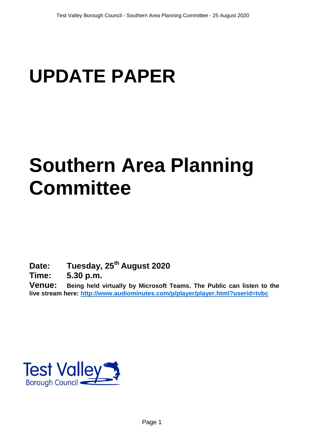# **UPDATE PAPER**

## **Southern Area Planning Committee**

**Date: Tuesday, 25th August 2020**

**Time: 5.30 p.m.**

**Venue: Being held virtually by Microsoft Teams. The Public can listen to the live stream here:<http://www.audiominutes.com/p/player/player.html?userid=tvbc>**

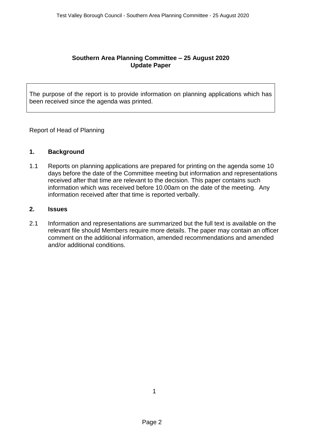## **Southern Area Planning Committee – 25 August 2020 Update Paper**

The purpose of the report is to provide information on planning applications which has been received since the agenda was printed.

Report of Head of Planning

## **1. Background**

1.1 Reports on planning applications are prepared for printing on the agenda some 10 days before the date of the Committee meeting but information and representations received after that time are relevant to the decision. This paper contains such information which was received before 10.00am on the date of the meeting. Any information received after that time is reported verbally.

## **2. Issues**

2.1 Information and representations are summarized but the full text is available on the relevant file should Members require more details. The paper may contain an officer comment on the additional information, amended recommendations and amended and/or additional conditions.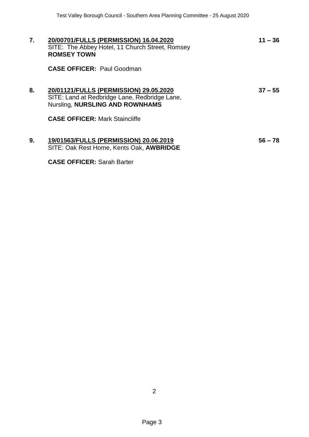| 7. | 20/00701/FULLS (PERMISSION) 16.04.2020<br>SITE: The Abbey Hotel, 11 Church Street, Romsey<br><b>ROMSEY TOWN</b>                   | $11 - 36$ |
|----|-----------------------------------------------------------------------------------------------------------------------------------|-----------|
|    | <b>CASE OFFICER: Paul Goodman</b>                                                                                                 |           |
| 8. | 20/01121/FULLS (PERMISSION) 29.05.2020<br>SITE: Land at Redbridge Lane, Redbridge Lane,<br><b>Nursling, NURSLING AND ROWNHAMS</b> | $37 - 55$ |
|    | <b>CASE OFFICER: Mark Staincliffe</b>                                                                                             |           |
| 9. | 19/01563/FULLS (PERMISSION) 20.06.2019<br>SITE: Oak Rest Home, Kents Oak, AWBRIDGE                                                | $56 - 78$ |
|    | <b>CASE OFFICER: Sarah Barter</b>                                                                                                 |           |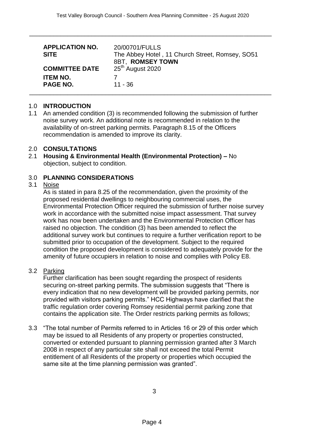\_\_\_\_\_\_\_\_\_\_\_\_\_\_\_\_\_\_\_\_\_\_\_\_\_\_\_\_\_\_\_\_\_\_\_\_\_\_\_\_\_\_\_\_\_\_\_\_\_\_\_\_\_\_\_\_\_\_\_\_\_\_\_\_\_\_\_\_\_\_

| <b>APPLICATION NO.</b><br><b>SITE</b> | 20/00701/FULLS<br>The Abbey Hotel, 11 Church Street, Romsey, SO51<br>8BT, ROMSEY TOWN |  |
|---------------------------------------|---------------------------------------------------------------------------------------|--|
| <b>COMMITTEE DATE</b>                 | 25 <sup>th</sup> August 2020                                                          |  |
| <b>ITEM NO.</b>                       |                                                                                       |  |
| <b>PAGE NO.</b>                       | $11 - 36$                                                                             |  |
|                                       |                                                                                       |  |

## 1.0 **INTRODUCTION**

1.1 An amended condition (3) is recommended following the submission of further noise survey work. An additional note is recommended in relation to the availability of on-street parking permits. Paragraph 8.15 of the Officers recommendation is amended to improve its clarity.

## 2.0 **CONSULTATIONS**

2.1 **Housing & Environmental Health (Environmental Protection) –** No objection, subject to condition.

## 3.0 **PLANNING CONSIDERATIONS**

## 3.1 Noise

As is stated in para 8.25 of the recommendation, given the proximity of the proposed residential dwellings to neighbouring commercial uses, the Environmental Protection Officer required the submission of further noise survey work in accordance with the submitted noise impact assessment. That survey work has now been undertaken and the Environmental Protection Officer has raised no objection. The condition (3) has been amended to reflect the additional survey work but continues to require a further verification report to be submitted prior to occupation of the development. Subject to the required condition the proposed development is considered to adequately provide for the amenity of future occupiers in relation to noise and complies with Policy E8.

## 3.2 Parking

Further clarification has been sought regarding the prospect of residents securing on-street parking permits. The submission suggests that "There is every indication that no new development will be provided parking permits, nor provided with visitors parking permits." HCC Highways have clarified that the traffic regulation order covering Romsey residential permit parking zone that contains the application site. The Order restricts parking permits as follows;

3.3 "The total number of Permits referred to in Articles 16 or 29 of this order which may be issued to all Residents of any property or properties constructed, converted or extended pursuant to planning permission granted after 3 March 2008 in respect of any particular site shall not exceed the total Permit entitlement of all Residents of the property or properties which occupied the same site at the time planning permission was granted".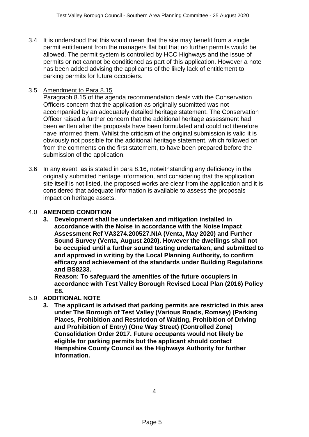3.4 It is understood that this would mean that the site may benefit from a single permit entitlement from the managers flat but that no further permits would be allowed. The permit system is controlled by HCC Highways and the issue of permits or not cannot be conditioned as part of this application. However a note has been added advising the applicants of the likely lack of entitlement to parking permits for future occupiers.

## 3.5 Amendment to Para 8.15

Paragraph 8.15 of the agenda recommendation deals with the Conservation Officers concern that the application as originally submitted was not accompanied by an adequately detailed heritage statement. The Conservation Officer raised a further concern that the additional heritage assessment had been written after the proposals have been formulated and could not therefore have informed them. Whilst the criticism of the original submission is valid it is obviously not possible for the additional heritage statement, which followed on from the comments on the first statement, to have been prepared before the submission of the application.

3.6 In any event, as is stated in para 8.16, notwithstanding any deficiency in the originally submitted heritage information, and considering that the application site itself is not listed, the proposed works are clear from the application and it is considered that adequate information is available to assess the proposals impact on heritage assets.

## 4.0 **AMENDED CONDITION**

**3. Development shall be undertaken and mitigation installed in accordance with the Noise in accordance with the Noise Impact Assessment Ref VA3274.200527.NIA (Venta, May 2020) and Further Sound Survey (Venta, August 2020). However the dwellings shall not be occupied until a further sound testing undertaken, and submitted to and approved in writing by the Local Planning Authority, to confirm efficacy and achievement of the standards under Building Regulations and BS8233.** 

**Reason: To safeguard the amenities of the future occupiers in accordance with Test Valley Borough Revised Local Plan (2016) Policy E8.** 

## 5.0 **ADDITIONAL NOTE**

**3. The applicant is advised that parking permits are restricted in this area under The Borough of Test Valley (Various Roads, Romsey) (Parking Places, Prohibition and Restriction of Waiting, Prohibition of Driving and Prohibition of Entry) (One Way Street) (Controlled Zone) Consolidation Order 2017. Future occupants would not likely be eligible for parking permits but the applicant should contact Hampshire County Council as the Highways Authority for further information.**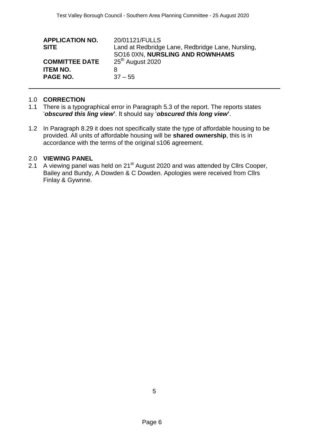| <b>APPLICATION NO.</b><br><b>SITE</b> | 20/01121/FULLS<br>Land at Redbridge Lane, Redbridge Lane, Nursling,<br>SO16 0XN, NURSLING AND ROWNHAMS |
|---------------------------------------|--------------------------------------------------------------------------------------------------------|
| <b>COMMITTEE DATE</b>                 | 25 <sup>th</sup> August 2020                                                                           |
| <b>ITEM NO.</b>                       |                                                                                                        |
| <b>PAGE NO.</b>                       | $37 - 55$                                                                                              |

## 1.0 **CORRECTION**

- 1.1 There is a typographical error in Paragraph 5.3 of the report. The reports states '*obscured this ling view***'**. It should say '*obscured this long view***'**.
- 1.2 In Paragraph 8.29 it does not specifically state the type of affordable housing to be provided. All units of affordable housing will be **shared ownership**, this is in accordance with the terms of the original s106 agreement.

## 2.0 **VIEWING PANEL**

2.1 A viewing panel was held on 21<sup>st</sup> August 2020 and was attended by Cllrs Cooper, Bailey and Bundy, A Dowden & C Dowden. Apologies were received from Cllrs Finlay & Gywnne.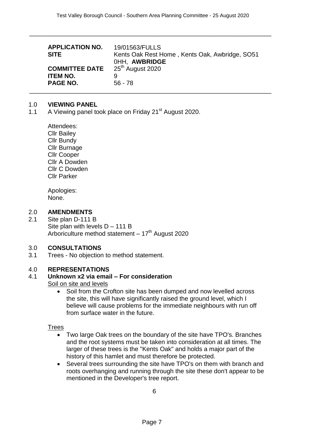\_\_\_\_\_\_\_\_\_\_\_\_\_\_\_\_\_\_\_\_\_\_\_\_\_\_\_\_\_\_\_\_\_\_\_\_\_\_\_\_\_\_\_\_\_\_\_\_\_\_\_\_\_\_\_\_\_\_\_\_\_\_\_\_\_\_\_\_\_\_

| <b>APPLICATION NO.</b><br><b>SITE</b> | 19/01563/FULLS<br>Kents Oak Rest Home, Kents Oak, Awbridge, SO51<br>OHH, AWBRIDGE |
|---------------------------------------|-----------------------------------------------------------------------------------|
| <b>COMMITTEE DATE</b>                 | 25 <sup>th</sup> August 2020                                                      |
| <b>ITEM NO.</b>                       |                                                                                   |
| <b>PAGE NO.</b>                       | $56 - 78$                                                                         |

\_\_\_\_\_\_\_\_\_\_\_\_\_\_\_\_\_\_\_\_\_\_\_\_\_\_\_\_\_\_\_\_\_\_\_\_\_\_\_\_\_\_\_\_\_\_\_\_\_\_\_\_\_\_\_\_\_\_\_\_\_\_\_\_\_\_\_\_\_\_

#### 1.0 **VIEWING PANEL**

1.1 A Viewing panel took place on Friday 21<sup>st</sup> August 2020.

Attendees: Cllr Bailey Cllr Bundy Cllr Burnage Cllr Cooper Cllr A Dowden Cllr C Dowden Cllr Parker

Apologies: None.

#### 2.0 **AMENDMENTS**

2.1 Site plan D-111 B Site plan with levels D – 111 B Arboriculture method statement  $-17<sup>th</sup>$  August 2020

#### 3.0 **CONSULTATIONS**

3.1 Trees - No objection to method statement.

#### 4.0 **REPRESENTATIONS**

- 4.1 **Unknown x2 via email – For consideration**  Soil on site and levels
	- Soil from the Crofton site has been dumped and now levelled across the site, this will have significantly raised the ground level, which I believe will cause problems for the immediate neighbours with run off from surface water in the future.

**Trees** 

- Two large Oak trees on the boundary of the site have TPO's. Branches and the root systems must be taken into consideration at all times. The larger of these trees is the "Kents Oak" and holds a major part of the history of this hamlet and must therefore be protected.
- Several trees surrounding the site have TPO's on them with branch and roots overhanging and running through the site these don't appear to be mentioned in the Developer's tree report.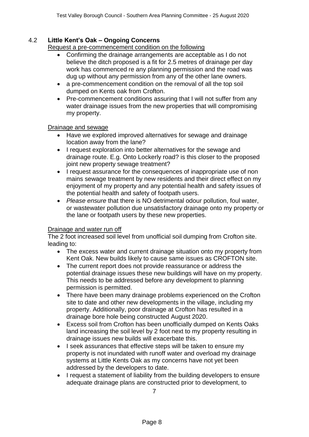## 4.2 **Little Kent's Oak – Ongoing Concerns**

Request a pre-commencement condition on the following

- Confirming the drainage arrangements are acceptable as I do not believe the ditch proposed is a fit for 2.5 metres of drainage per day work has commenced re any planning permission and the road was dug up without any permission from any of the other lane owners.
- a pre-commencement condition on the removal of all the top soil dumped on Kents oak from Crofton.
- Pre-commencement conditions assuring that I will not suffer from any water drainage issues from the new properties that will compromising my property.

## Drainage and sewage

- Have we explored improved alternatives for sewage and drainage location away from the lane?
- I request exploration into better alternatives for the sewage and drainage route. E.g. Onto Lockerly road? is this closer to the proposed joint new property sewage treatment?
- I request assurance for the consequences of inappropriate use of non mains sewage treatment by new residents and their direct effect on my enjoyment of my property and any potential health and safety issues of the potential health and safety of footpath users.
- *Please ensure* that there is NO detrimental odour pollution, foul water, or wastewater pollution due unsatisfactory drainage onto my property or the lane or footpath users by these new properties.

## Drainage and water run off

The 2 foot increased soil level from unofficial soil dumping from Crofton site. leading to:

- The excess water and current drainage situation onto my property from Kent Oak. New builds likely to cause same issues as CROFTON site.
- The current report does not provide reassurance or address the potential drainage issues these new buildings will have on my property. This needs to be addressed before any development to planning permission is permitted.
- There have been many drainage problems experienced on the Crofton site to date and other new developments in the village, including my property. Additionally, poor drainage at Crofton has resulted in a drainage bore hole being constructed August 2020.
- Excess soil from Crofton has been unofficially dumped on Kents Oaks land increasing the soil level by 2 foot next to my property resulting in drainage issues new builds will exacerbate this.
- I seek assurances that effective steps will be taken to ensure my property is not inundated with runoff water and overload my drainage systems at Little Kents Oak as my concerns have not yet been addressed by the developers to date.
- I request a statement of liability from the building developers to ensure adequate drainage plans are constructed prior to development, to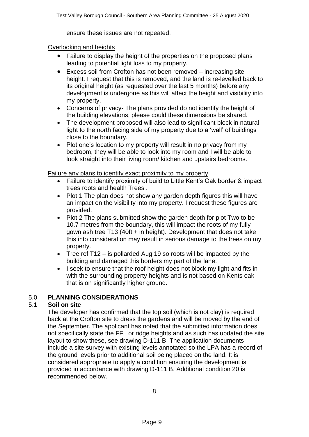ensure these issues are not repeated.

## Overlooking and heights

- Failure to display the height of the properties on the proposed plans leading to potential light loss to my property.
- Excess soil from Crofton has not been removed increasing site height. I request that this is removed, and the land is re-levelled back to its original height (as requested over the last 5 months) before any development is undergone as this will affect the height and visibility into my property.
- Concerns of privacy- The plans provided do not identify the height of the building elevations, please could these dimensions be shared.
- The development proposed will also lead to significant block in natural light to the north facing side of my property due to a 'wall' of buildings close to the boundary.
- Plot one's location to my property will result in no privacy from my bedroom, they will be able to look into my room and I will be able to look straight into their living room/ kitchen and upstairs bedrooms.

Failure any plans to identify exact proximity to my property

- Failure to identify proximity of build to Little Kent's Oak border & impact trees roots and health Trees .
- Plot 1 The plan does not show any garden depth figures this will have an impact on the visibility into my property. I request these figures are provided.
- Plot 2 The plans submitted show the garden depth for plot Two to be 10.7 metres from the boundary, this will impact the roots of my fully gown ash tree T13 (40ft + in height). Development that does not take this into consideration may result in serious damage to the trees on my property.
- Tree ref T12 is pollarded Aug 19 so roots will be impacted by the building and damaged this borders my part of the lane.
- I seek to ensure that the roof height does not block my light and fits in with the surrounding property heights and is not based on Kents oak that is on significantly higher ground.

## 5.0 **PLANNING CONSIDERATIONS**

## 5.1 **Soil on site**

The developer has confirmed that the top soil (which is not clay) is required back at the Crofton site to dress the gardens and will be moved by the end of the September. The applicant has noted that the submitted information does not specifically state the FFL or ridge heights and as such has updated the site layout to show these, see drawing D-111 B. The application documents include a site survey with existing levels annotated so the LPA has a record of the ground levels prior to additional soil being placed on the land. It is considered appropriate to apply a condition ensuring the development is provided in accordance with drawing D-111 B. Additional condition 20 is recommended below.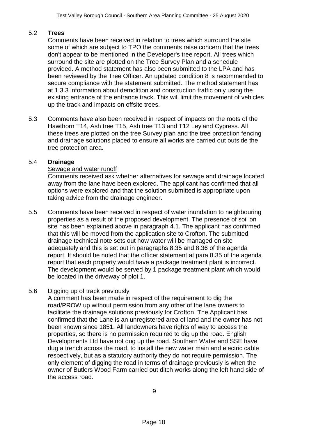## 5.2 **Trees**

Comments have been received in relation to trees which surround the site some of which are subject to TPO the comments raise concern that the trees don't appear to be mentioned in the Developer's tree report. All trees which surround the site are plotted on the Tree Survey Plan and a schedule provided. A method statement has also been submitted to the LPA and has been reviewed by the Tree Officer. An updated condition 8 is recommended to secure compliance with the statement submitted. The method statement has at 1.3.3 information about demolition and construction traffic only using the existing entrance of the entrance track. This will limit the movement of vehicles up the track and impacts on offsite trees.

5.3 Comments have also been received in respect of impacts on the roots of the Hawthorn T14, Ash tree T15, Ash tree T13 and T12 Leyland Cypress. All these trees are plotted on the tree Survey plan and the tree protection fencing and drainage solutions placed to ensure all works are carried out outside the tree protection area.

## 5.4 **Drainage**

#### Sewage and water runoff

Comments received ask whether alternatives for sewage and drainage located away from the lane have been explored. The applicant has confirmed that all options were explored and that the solution submitted is appropriate upon taking advice from the drainage engineer.

5.5 Comments have been received in respect of water inundation to neighbouring properties as a result of the proposed development. The presence of soil on site has been explained above in paragraph 4.1. The applicant has confirmed that this will be moved from the application site to Crofton. The submitted drainage technical note sets out how water will be managed on site adequately and this is set out in paragraphs 8.35 and 8.36 of the agenda report. It should be noted that the officer statement at para 8.35 of the agenda report that each property would have a package treatment plant is incorrect. The development would be served by 1 package treatment plant which would be located in the driveway of plot 1.

## 5.6 Digging up of track previously

A comment has been made in respect of the requirement to dig the road/PROW up without permission from any other of the lane owners to facilitate the drainage solutions previously for Crofton. The Applicant has confirmed that the Lane is an unregistered area of land and the owner has not been known since 1851. All landowners have rights of way to access the properties, so there is no permission required to dig up the road. English Developments Ltd have not dug up the road. Southern Water and SSE have dug a trench across the road, to install the new water main and electric cable respectively, but as a statutory authority they do not require permission. The only element of digging the road in terms of drainage previously is when the owner of Butlers Wood Farm carried out ditch works along the left hand side of the access road.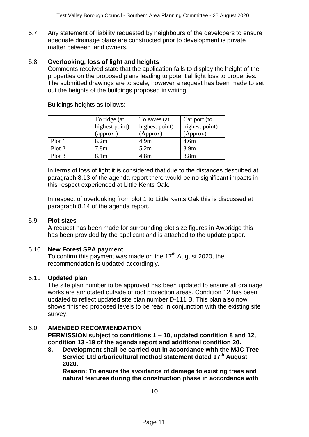5.7 Any statement of liability requested by neighbours of the developers to ensure adequate drainage plans are constructed prior to development is private matter between land owners.

## 5.8 **Overlooking, loss of light and heights**

Comments received state that the application fails to display the height of the properties on the proposed plans leading to potential light loss to properties. The submitted drawings are to scale, however a request has been made to set out the heights of the buildings proposed in writing.

Buildings heights as follows:

|        | To ridge (at   | To eaves (at     | Car port (to     |
|--------|----------------|------------------|------------------|
|        | highest point) | highest point)   | highest point)   |
|        | (approx.)      | (Approx)         | (Approx)         |
| Plot 1 | 8.2m           | 4.9m             | 4.6m             |
| Plot 2 | 7.8m           | 5.2m             | 3.9 <sub>m</sub> |
| Plot 3 | 8.1m           | 4.8 <sub>m</sub> | 3.8 <sub>m</sub> |

In terms of loss of light it is considered that due to the distances described at paragraph 8.13 of the agenda report there would be no significant impacts in this respect experienced at Little Kents Oak.

In respect of overlooking from plot 1 to Little Kents Oak this is discussed at paragraph 8.14 of the agenda report.

## 5.9 **Plot sizes**

A request has been made for surrounding plot size figures in Awbridge this has been provided by the applicant and is attached to the update paper.

## 5.10 **New Forest SPA payment**

To confirm this payment was made on the  $17<sup>th</sup>$  August 2020, the recommendation is updated accordingly.

## 5.11 **Updated plan**

The site plan number to be approved has been updated to ensure all drainage works are annotated outside of root protection areas. Condition 12 has been updated to reflect updated site plan number D-111 B. This plan also now shows finished proposed levels to be read in conjunction with the existing site survey.

## 6.0 **AMENDED RECOMMENDATION**

**PERMISSION subject to conditions 1 – 10, updated condition 8 and 12, condition 13 -19 of the agenda report and additional condition 20.**

**8. Development shall be carried out in accordance with the MJC Tree Service Ltd arboricultural method statement dated 17th August 2020.**

**Reason: To ensure the avoidance of damage to existing trees and natural features during the construction phase in accordance with**

10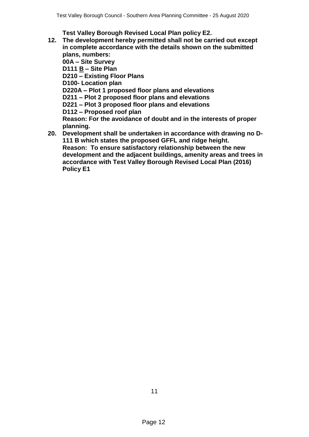**Test Valley Borough Revised Local Plan policy E2.**

- **12. The development hereby permitted shall not be carried out except in complete accordance with the details shown on the submitted plans, numbers: 00A – Site Survey D111 B – Site Plan D210 – Existing Floor Plans D100- Location plan D220A – Plot 1 proposed floor plans and elevations D211 – Plot 2 proposed floor plans and elevations D221 – Plot 3 proposed floor plans and elevations D112 – Proposed roof plan Reason: For the avoidance of doubt and in the interests of proper planning. 20. Development shall be undertaken in accordance with drawing no D-**
- **111 B which states the proposed GFFL and ridge height. Reason: To ensure satisfactory relationship between the new development and the adjacent buildings, amenity areas and trees in accordance with Test Valley Borough Revised Local Plan (2016) Policy E1**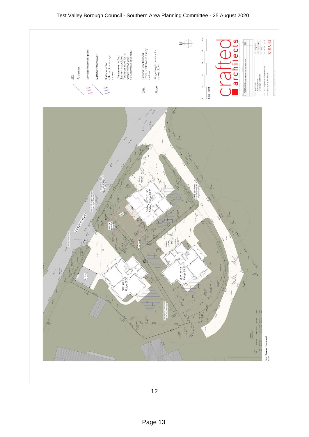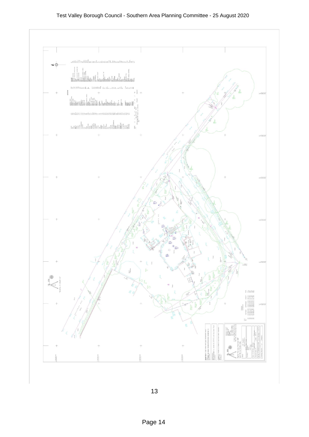## Test Valley Borough Council - Southern Area Planning Committee - 25 August 2020